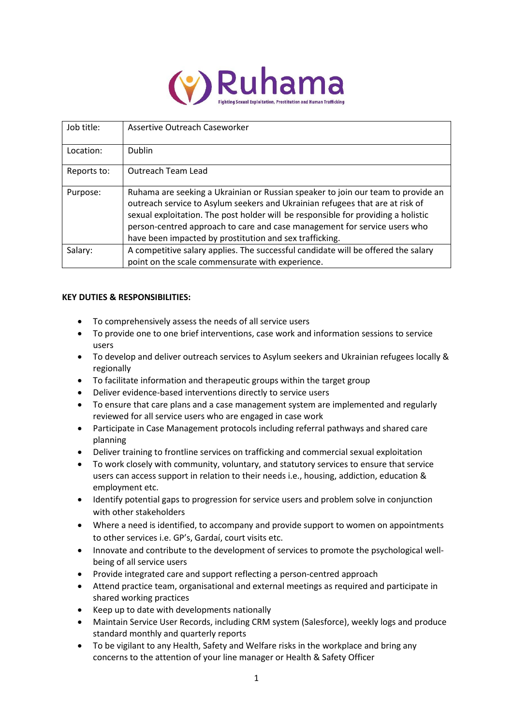

| Job title:  | Assertive Outreach Caseworker                                                                                                                                                                                                                                                                                                                                                                  |
|-------------|------------------------------------------------------------------------------------------------------------------------------------------------------------------------------------------------------------------------------------------------------------------------------------------------------------------------------------------------------------------------------------------------|
|             |                                                                                                                                                                                                                                                                                                                                                                                                |
| Location:   | Dublin                                                                                                                                                                                                                                                                                                                                                                                         |
| Reports to: | <b>Outreach Team Lead</b>                                                                                                                                                                                                                                                                                                                                                                      |
| Purpose:    | Ruhama are seeking a Ukrainian or Russian speaker to join our team to provide an<br>outreach service to Asylum seekers and Ukrainian refugees that are at risk of<br>sexual exploitation. The post holder will be responsible for providing a holistic<br>person-centred approach to care and case management for service users who<br>have been impacted by prostitution and sex trafficking. |
| Salary:     | A competitive salary applies. The successful candidate will be offered the salary<br>point on the scale commensurate with experience.                                                                                                                                                                                                                                                          |

# **KEY DUTIES & RESPONSIBILITIES:**

- To comprehensively assess the needs of all service users
- To provide one to one brief interventions, case work and information sessions to service users
- To develop and deliver outreach services to Asylum seekers and Ukrainian refugees locally & regionally
- To facilitate information and therapeutic groups within the target group
- Deliver evidence-based interventions directly to service users
- To ensure that care plans and a case management system are implemented and regularly reviewed for all service users who are engaged in case work
- Participate in Case Management protocols including referral pathways and shared care planning
- Deliver training to frontline services on trafficking and commercial sexual exploitation
- To work closely with community, voluntary, and statutory services to ensure that service users can access support in relation to their needs i.e., housing, addiction, education & employment etc.
- Identify potential gaps to progression for service users and problem solve in conjunction with other stakeholders
- Where a need is identified, to accompany and provide support to women on appointments to other services i.e. GP's, Gardaí, court visits etc.
- Innovate and contribute to the development of services to promote the psychological wellbeing of all service users
- Provide integrated care and support reflecting a person-centred approach
- Attend practice team, organisational and external meetings as required and participate in shared working practices
- Keep up to date with developments nationally
- Maintain Service User Records, including CRM system (Salesforce), weekly logs and produce standard monthly and quarterly reports
- To be vigilant to any Health, Safety and Welfare risks in the workplace and bring any concerns to the attention of your line manager or Health & Safety Officer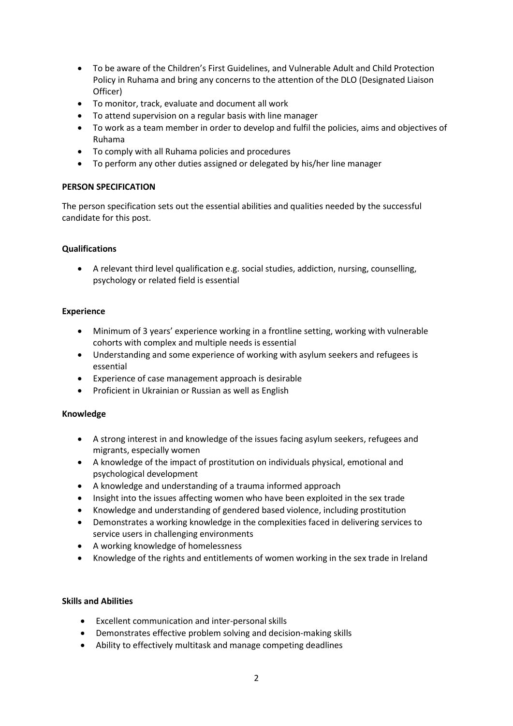- To be aware of the Children's First Guidelines, and Vulnerable Adult and Child Protection Policy in Ruhama and bring any concerns to the attention of the DLO (Designated Liaison Officer)
- To monitor, track, evaluate and document all work
- To attend supervision on a regular basis with line manager
- To work as a team member in order to develop and fulfil the policies, aims and objectives of Ruhama
- To comply with all Ruhama policies and procedures
- To perform any other duties assigned or delegated by his/her line manager

# **PERSON SPECIFICATION**

The person specification sets out the essential abilities and qualities needed by the successful candidate for this post.

# **Qualifications**

• A relevant third level qualification e.g. social studies, addiction, nursing, counselling, psychology or related field is essential

# **Experience**

- Minimum of 3 years' experience working in a frontline setting, working with vulnerable cohorts with complex and multiple needs is essential
- Understanding and some experience of working with asylum seekers and refugees is essential
- Experience of case management approach is desirable
- Proficient in Ukrainian or Russian as well as English

#### **Knowledge**

- A strong interest in and knowledge of the issues facing asylum seekers, refugees and migrants, especially women
- A knowledge of the impact of prostitution on individuals physical, emotional and psychological development
- A knowledge and understanding of a trauma informed approach
- Insight into the issues affecting women who have been exploited in the sex trade
- Knowledge and understanding of gendered based violence, including prostitution
- Demonstrates a working knowledge in the complexities faced in delivering services to service users in challenging environments
- A working knowledge of homelessness
- Knowledge of the rights and entitlements of women working in the sex trade in Ireland

#### **Skills and Abilities**

- Excellent communication and inter-personal skills
- Demonstrates effective problem solving and decision-making skills
- Ability to effectively multitask and manage competing deadlines